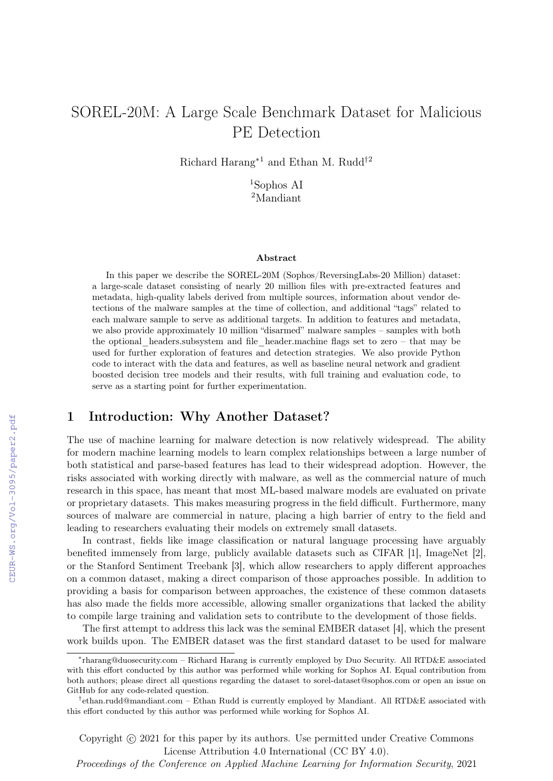# SOREL-20M: A Large Scale Benchmark Dataset for Malicious PE Detection

Richard Harang<sup>∗</sup><sup>1</sup> and Ethan M. Rudd†<sup>2</sup>

<sup>1</sup>Sophos AI <sup>2</sup>Mandiant

#### Abstract

In this paper we describe the SOREL-20M (Sophos/ReversingLabs-20 Million) dataset: a large-scale dataset consisting of nearly 20 million files with pre-extracted features and metadata, high-quality labels derived from multiple sources, information about vendor detections of the malware samples at the time of collection, and additional "tags" related to each malware sample to serve as additional targets. In addition to features and metadata, we also provide approximately 10 million "disarmed" malware samples – samples with both the optional\_headers.subsystem and file\_header.machine flags set to zero – that may be used for further exploration of features and detection strategies. We also provide Python code to interact with the data and features, as well as baseline neural network and gradient boosted decision tree models and their results, with full training and evaluation code, to serve as a starting point for further experimentation.

### 1 Introduction: Why Another Dataset?

The use of machine learning for malware detection is now relatively widespread. The ability for modern machine learning models to learn complex relationships between a large number of both statistical and parse-based features has lead to their widespread adoption. However, the risks associated with working directly with malware, as well as the commercial nature of much research in this space, has meant that most ML-based malware models are evaluated on private or proprietary datasets. This makes measuring progress in the field difficult. Furthermore, many sources of malware are commercial in nature, placing a high barrier of entry to the field and leading to researchers evaluating their models on extremely small datasets.

In contrast, fields like image classification or natural language processing have arguably benefited immensely from large, publicly available datasets such as CIFAR [1], ImageNet [2], or the Stanford Sentiment Treebank [3], which allow researchers to apply different approaches on a common dataset, making a direct comparison of those approaches possible. In addition to providing a basis for comparison between approaches, the existence of these common datasets has also made the fields more accessible, allowing smaller organizations that lacked the ability to compile large training and validation sets to contribute to the development of those fields.

The first attempt to address this lack was the seminal EMBER dataset [4], which the present work builds upon. The EMBER dataset was the first standard dataset to be used for malware

Copyright (c) 2021 for this paper by its authors. Use permitted under Creative Commons License Attribution 4.0 International (CC BY 4.0).

Proceedings of the Conference on Applied Machine Learning for Information Security, 2021

<sup>∗</sup> rharang@duosecurity.com – Richard Harang is currently employed by Duo Security. All RTD&E associated with this effort conducted by this author was performed while working for Sophos AI. Equal contribution from both authors; please direct all questions regarding the dataset to sorel-dataset@sophos.com or open an issue on GitHub for any code-related question.

<sup>†</sup> ethan.rudd@mandiant.com – Ethan Rudd is currently employed by Mandiant. All RTD&E associated with this effort conducted by this author was performed while working for Sophos AI.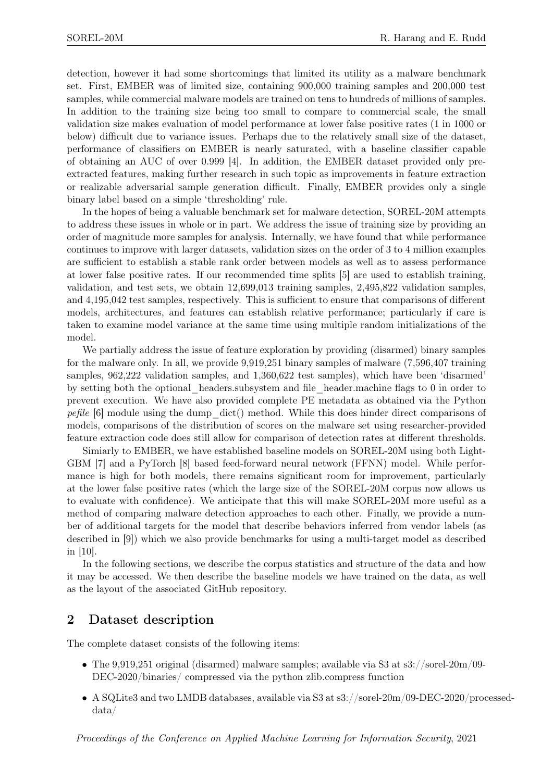detection, however it had some shortcomings that limited its utility as a malware benchmark set. First, EMBER was of limited size, containing 900,000 training samples and 200,000 test samples, while commercial malware models are trained on tens to hundreds of millions of samples. In addition to the training size being too small to compare to commercial scale, the small validation size makes evaluation of model performance at lower false positive rates (1 in 1000 or below) difficult due to variance issues. Perhaps due to the relatively small size of the dataset, performance of classifiers on EMBER is nearly saturated, with a baseline classifier capable of obtaining an AUC of over 0.999 [4]. In addition, the EMBER dataset provided only preextracted features, making further research in such topic as improvements in feature extraction or realizable adversarial sample generation difficult. Finally, EMBER provides only a single binary label based on a simple 'thresholding' rule.

In the hopes of being a valuable benchmark set for malware detection, SOREL-20M attempts to address these issues in whole or in part. We address the issue of training size by providing an order of magnitude more samples for analysis. Internally, we have found that while performance continues to improve with larger datasets, validation sizes on the order of 3 to 4 million examples are sufficient to establish a stable rank order between models as well as to assess performance at lower false positive rates. If our recommended time splits [5] are used to establish training, validation, and test sets, we obtain 12,699,013 training samples, 2,495,822 validation samples, and 4,195,042 test samples, respectively. This is sufficient to ensure that comparisons of different models, architectures, and features can establish relative performance; particularly if care is taken to examine model variance at the same time using multiple random initializations of the model.

We partially address the issue of feature exploration by providing (disarmed) binary samples for the malware only. In all, we provide 9,919,251 binary samples of malware (7,596,407 training samples, 962,222 validation samples, and 1,360,622 test samples), which have been 'disarmed' by setting both the optional\_headers.subsystem and file\_header.machine flags to 0 in order to prevent execution. We have also provided complete PE metadata as obtained via the Python *pefile* [6] module using the dump  $\text{dict}()$  method. While this does hinder direct comparisons of models, comparisons of the distribution of scores on the malware set using researcher-provided feature extraction code does still allow for comparison of detection rates at different thresholds.

Simiarly to EMBER, we have established baseline models on SOREL-20M using both Light-GBM [7] and a PyTorch [8] based feed-forward neural network (FFNN) model. While performance is high for both models, there remains significant room for improvement, particularly at the lower false positive rates (which the large size of the SOREL-20M corpus now allows us to evaluate with confidence). We anticipate that this will make SOREL-20M more useful as a method of comparing malware detection approaches to each other. Finally, we provide a number of additional targets for the model that describe behaviors inferred from vendor labels (as described in [9]) which we also provide benchmarks for using a multi-target model as described in [10].

In the following sections, we describe the corpus statistics and structure of the data and how it may be accessed. We then describe the baseline models we have trained on the data, as well as the layout of the associated GitHub repository.

### 2 Dataset description

The complete dataset consists of the following items:

- The 9,919,251 original (disarmed) malware samples; available via S3 at  $s3$ ://sorel-20m/09-DEC-2020/binaries/ compressed via the python zlib.compress function
- A SQLite3 and two LMDB databases, available via S3 at s3://sorel-20m/09-DEC-2020/processeddata/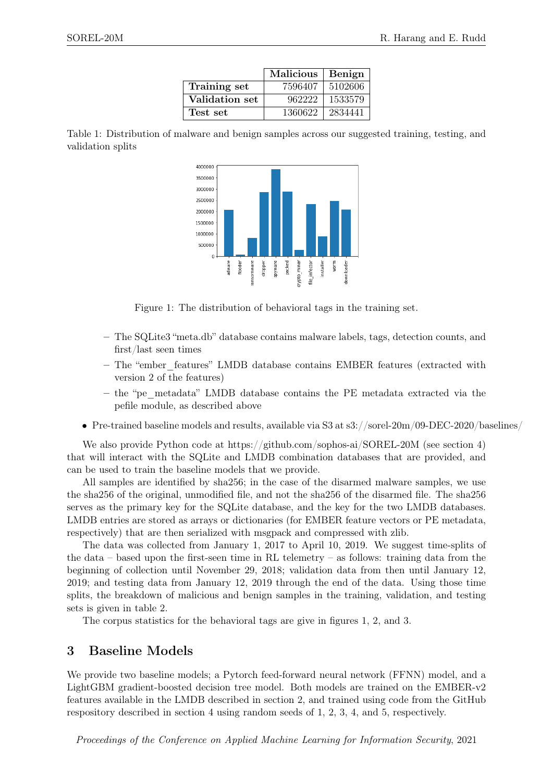|                | <b>Malicious</b> | Benign  |
|----------------|------------------|---------|
| Training set   | 7596407          | 5102606 |
| Validation set | 962222           | 1533579 |
| Test set       | 1360622          | 2834441 |





Figure 1: The distribution of behavioral tags in the training set.

- The SQLite3 "meta.db" database contains malware labels, tags, detection counts, and first/last seen times
- The "ember\_features" LMDB database contains EMBER features (extracted with version 2 of the features)
- the "pe\_metadata" LMDB database contains the PE metadata extracted via the pefile module, as described above
- Pre-trained baseline models and results, available via S3 at  $s3$ ://sorel-20m/09-DEC-2020/baselines/

We also provide Python code at https://github.com/sophos-ai/SOREL-20M (see section 4) that will interact with the SQLite and LMDB combination databases that are provided, and can be used to train the baseline models that we provide.

All samples are identified by sha256; in the case of the disarmed malware samples, we use the sha256 of the original, unmodified file, and not the sha256 of the disarmed file. The sha256 serves as the primary key for the SQLite database, and the key for the two LMDB databases. LMDB entries are stored as arrays or dictionaries (for EMBER feature vectors or PE metadata, respectively) that are then serialized with msgpack and compressed with zlib.

The data was collected from January 1, 2017 to April 10, 2019. We suggest time-splits of the data – based upon the first-seen time in RL telemetry – as follows: training data from the beginning of collection until November 29, 2018; validation data from then until January 12, 2019; and testing data from January 12, 2019 through the end of the data. Using those time splits, the breakdown of malicious and benign samples in the training, validation, and testing sets is given in table 2.

The corpus statistics for the behavioral tags are give in figures 1, 2, and 3.

### 3 Baseline Models

We provide two baseline models; a Pytorch feed-forward neural network (FFNN) model, and a LightGBM gradient-boosted decision tree model. Both models are trained on the EMBER-v2 features available in the LMDB described in section 2, and trained using code from the GitHub respository described in section 4 using random seeds of 1, 2, 3, 4, and 5, respectively.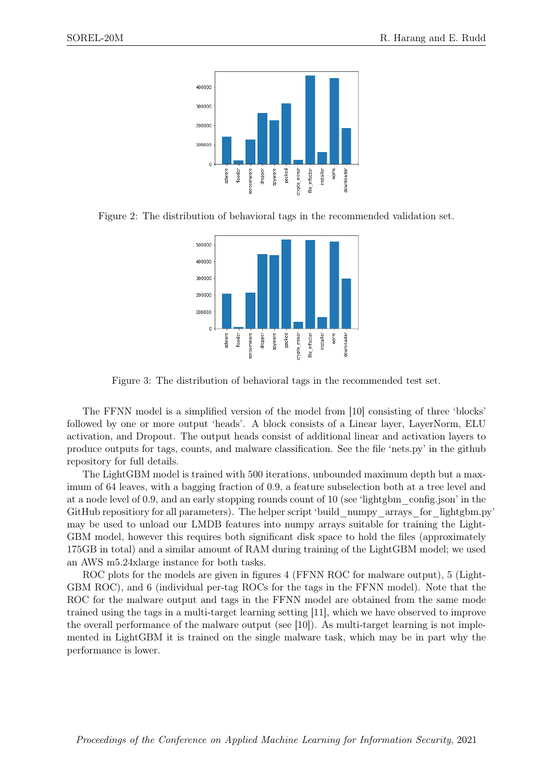

Figure 2: The distribution of behavioral tags in the recommended validation set.



Figure 3: The distribution of behavioral tags in the recommended test set.

The FFNN model is a simplified version of the model from [10] consisting of three 'blocks' followed by one or more output 'heads'. A block consists of a Linear layer, LayerNorm, ELU activation, and Dropout. The output heads consist of additional linear and activation layers to produce outputs for tags, counts, and malware classification. See the file 'nets.py' in the github repository for full details.

The LightGBM model is trained with 500 iterations, unbounded maximum depth but a maximum of 64 leaves, with a bagging fraction of 0.9, a feature subselection both at a tree level and at a node level of 0.9, and an early stopping rounds count of 10 (see 'lightgbm\_config.json' in the GitHub repositiory for all parameters). The helper script 'build\_numpy\_arrays\_for\_lightgbm.py' may be used to unload our LMDB features into numpy arrays suitable for training the Light-GBM model, however this requires both significant disk space to hold the files (approximately 175GB in total) and a similar amount of RAM during training of the LightGBM model; we used an AWS m5.24xlarge instance for both tasks.

ROC plots for the models are given in figures 4 (FFNN ROC for malware output), 5 (Light-GBM ROC), and 6 (individual per-tag ROCs for the tags in the FFNN model). Note that the ROC for the malware output and tags in the FFNN model are obtained from the same mode trained using the tags in a multi-target learning setting [11], which we have observed to improve the overall performance of the malware output (see [10]). As multi-target learning is not implemented in LightGBM it is trained on the single malware task, which may be in part why the performance is lower.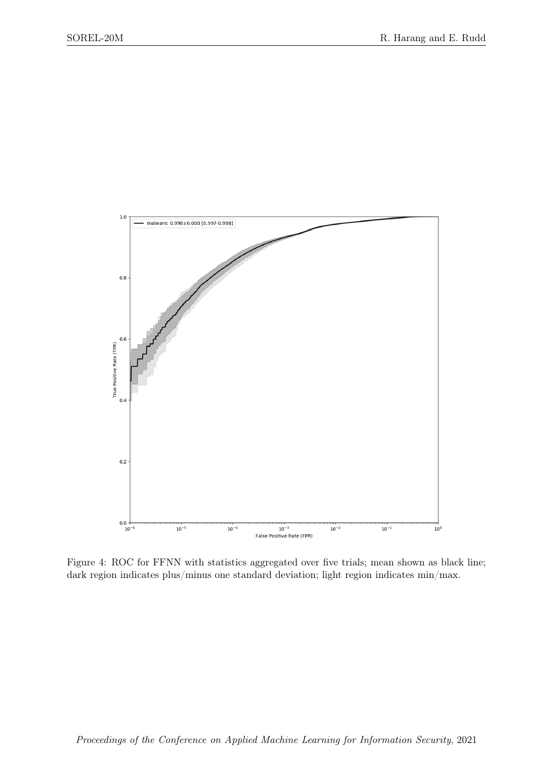

Figure 4: ROC for FFNN with statistics aggregated over five trials; mean shown as black line; dark region indicates plus/minus one standard deviation; light region indicates min/max.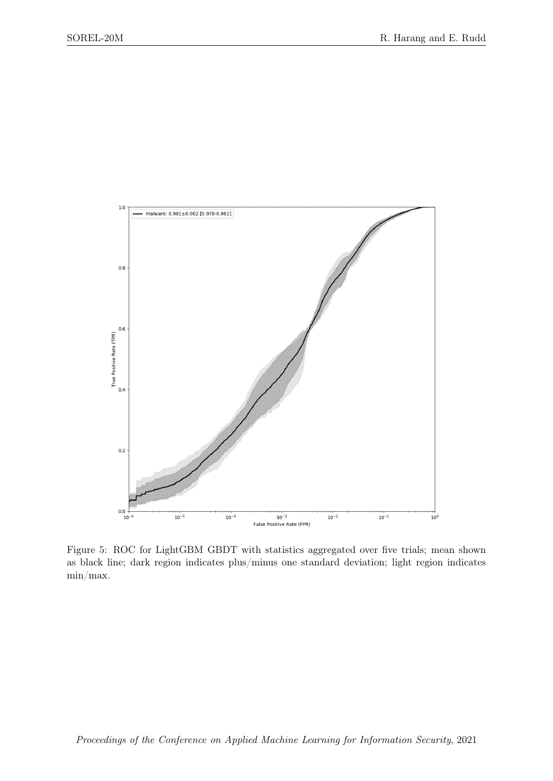

Figure 5: ROC for LightGBM GBDT with statistics aggregated over five trials; mean shown as black line; dark region indicates plus/minus one standard deviation; light region indicates min/max.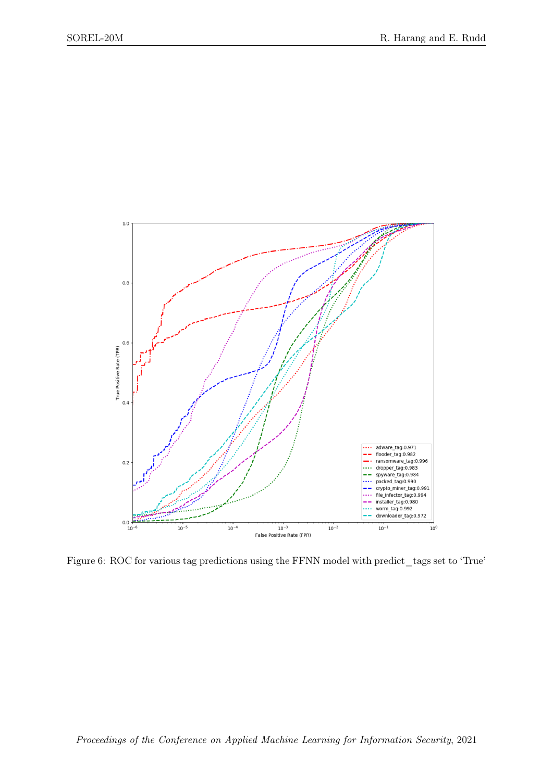

Figure 6: ROC for various tag predictions using the FFNN model with predict\_tags set to 'True'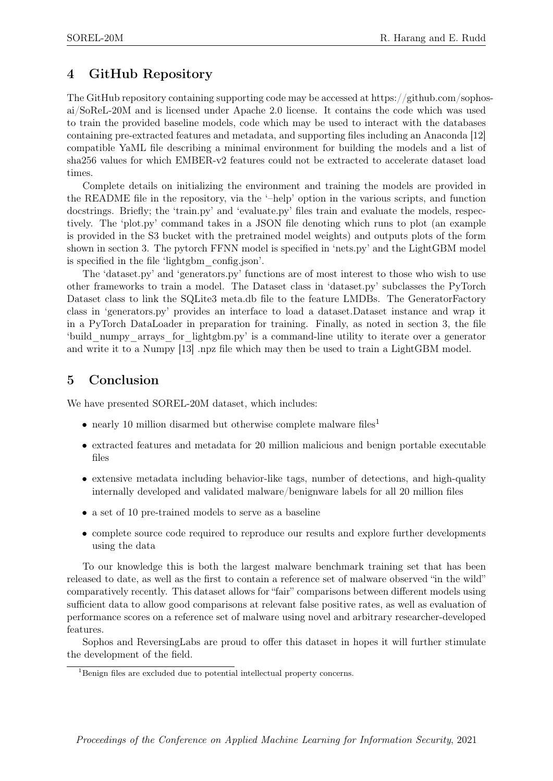## 4 GitHub Repository

The GitHub repository containing supporting code may be accessed at https://github.com/sophosai/SoReL-20M and is licensed under Apache 2.0 license. It contains the code which was used to train the provided baseline models, code which may be used to interact with the databases containing pre-extracted features and metadata, and supporting files including an Anaconda [12] compatible YaML file describing a minimal environment for building the models and a list of sha256 values for which EMBER-v2 features could not be extracted to accelerate dataset load times.

Complete details on initializing the environment and training the models are provided in the README file in the repository, via the '–help' option in the various scripts, and function docstrings. Briefly; the 'train.py' and 'evaluate.py' files train and evaluate the models, respectively. The 'plot.py' command takes in a JSON file denoting which runs to plot (an example is provided in the S3 bucket with the pretrained model weights) and outputs plots of the form shown in section 3. The pytorch FFNN model is specified in 'nets.py' and the LightGBM model is specified in the file 'lightgbm\_config.json'.

The 'dataset.py' and 'generators.py' functions are of most interest to those who wish to use other frameworks to train a model. The Dataset class in 'dataset.py' subclasses the PyTorch Dataset class to link the SQLite3 meta.db file to the feature LMDBs. The GeneratorFactory class in 'generators.py' provides an interface to load a dataset.Dataset instance and wrap it in a PyTorch DataLoader in preparation for training. Finally, as noted in section 3, the file 'build\_numpy\_arrays\_for\_lightgbm.py' is a command-line utility to iterate over a generator and write it to a Numpy [13] .npz file which may then be used to train a LightGBM model.

## 5 Conclusion

We have presented SOREL-20M dataset, which includes:

- nearly 10 million disarmed but otherwise complete malware files<sup>1</sup>
- extracted features and metadata for 20 million malicious and benign portable executable files
- extensive metadata including behavior-like tags, number of detections, and high-quality internally developed and validated malware/benignware labels for all 20 million files
- a set of 10 pre-trained models to serve as a baseline
- complete source code required to reproduce our results and explore further developments using the data

To our knowledge this is both the largest malware benchmark training set that has been released to date, as well as the first to contain a reference set of malware observed "in the wild" comparatively recently. This dataset allows for "fair" comparisons between different models using sufficient data to allow good comparisons at relevant false positive rates, as well as evaluation of performance scores on a reference set of malware using novel and arbitrary researcher-developed features.

Sophos and ReversingLabs are proud to offer this dataset in hopes it will further stimulate the development of the field.

<sup>&</sup>lt;sup>1</sup>Benign files are excluded due to potential intellectual property concerns.